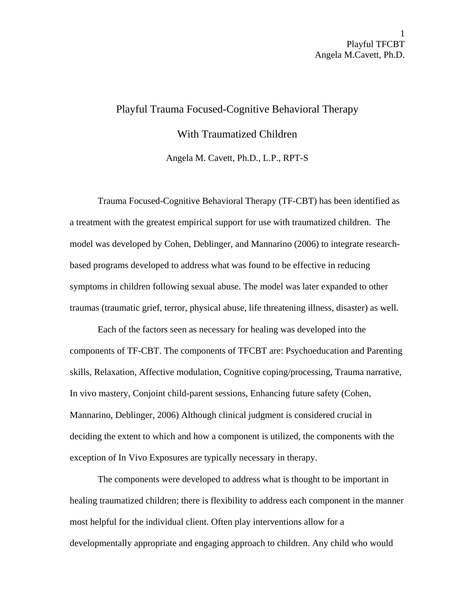## Playful Trauma Focused-Cognitive Behavioral Therapy With Traumatized Children Angela M. Cavett, Ph.D., L.P., RPT-S

 Trauma Focused-Cognitive Behavioral Therapy (TF-CBT) has been identified as a treatment with the greatest empirical support for use with traumatized children. The model was developed by Cohen, Deblinger, and Mannarino (2006) to integrate researchbased programs developed to address what was found to be effective in reducing symptoms in children following sexual abuse. The model was later expanded to other traumas (traumatic grief, terror, physical abuse, life threatening illness, disaster) as well.

Each of the factors seen as necessary for healing was developed into the components of TF-CBT. The components of TFCBT are: Psychoeducation and Parenting skills, Relaxation, Affective modulation, Cognitive coping/processing, Trauma narrative, In vivo mastery, Conjoint child-parent sessions, Enhancing future safety (Cohen, Mannarino, Deblinger, 2006) Although clinical judgment is considered crucial in deciding the extent to which and how a component is utilized, the components with the exception of In Vivo Exposures are typically necessary in therapy.

The components were developed to address what is thought to be important in healing traumatized children; there is flexibility to address each component in the manner most helpful for the individual client. Often play interventions allow for a developmentally appropriate and engaging approach to children. Any child who would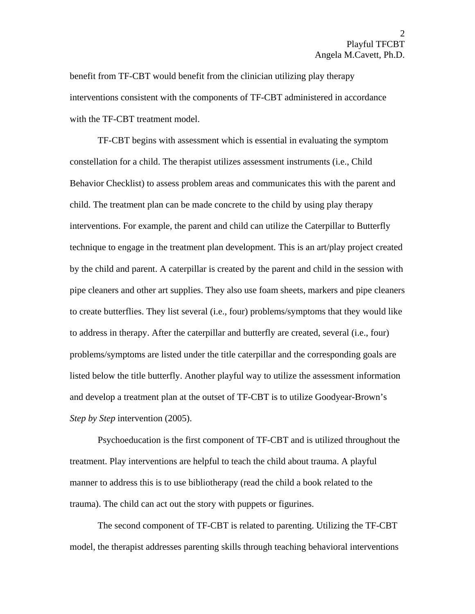benefit from TF-CBT would benefit from the clinician utilizing play therapy interventions consistent with the components of TF-CBT administered in accordance with the TF-CBT treatment model.

TF-CBT begins with assessment which is essential in evaluating the symptom constellation for a child. The therapist utilizes assessment instruments (i.e., Child Behavior Checklist) to assess problem areas and communicates this with the parent and child. The treatment plan can be made concrete to the child by using play therapy interventions. For example, the parent and child can utilize the Caterpillar to Butterfly technique to engage in the treatment plan development. This is an art/play project created by the child and parent. A caterpillar is created by the parent and child in the session with pipe cleaners and other art supplies. They also use foam sheets, markers and pipe cleaners to create butterflies. They list several (i.e., four) problems/symptoms that they would like to address in therapy. After the caterpillar and butterfly are created, several (i.e., four) problems/symptoms are listed under the title caterpillar and the corresponding goals are listed below the title butterfly. Another playful way to utilize the assessment information and develop a treatment plan at the outset of TF-CBT is to utilize Goodyear-Brown's *Step by Step* intervention (2005).

 Psychoeducation is the first component of TF-CBT and is utilized throughout the treatment. Play interventions are helpful to teach the child about trauma. A playful manner to address this is to use bibliotherapy (read the child a book related to the trauma). The child can act out the story with puppets or figurines.

The second component of TF-CBT is related to parenting. Utilizing the TF-CBT model, the therapist addresses parenting skills through teaching behavioral interventions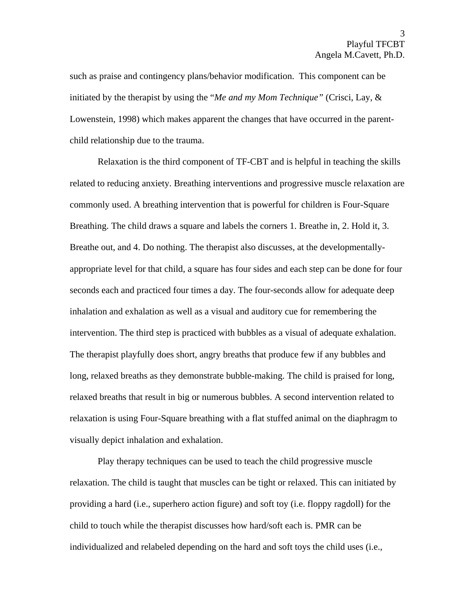such as praise and contingency plans/behavior modification. This component can be initiated by the therapist by using the "*Me and my Mom Technique"* (Crisci, Lay, & Lowenstein, 1998) which makes apparent the changes that have occurred in the parentchild relationship due to the trauma.

Relaxation is the third component of TF-CBT and is helpful in teaching the skills related to reducing anxiety. Breathing interventions and progressive muscle relaxation are commonly used. A breathing intervention that is powerful for children is Four-Square Breathing. The child draws a square and labels the corners 1. Breathe in, 2. Hold it, 3. Breathe out, and 4. Do nothing. The therapist also discusses, at the developmentallyappropriate level for that child, a square has four sides and each step can be done for four seconds each and practiced four times a day. The four-seconds allow for adequate deep inhalation and exhalation as well as a visual and auditory cue for remembering the intervention. The third step is practiced with bubbles as a visual of adequate exhalation. The therapist playfully does short, angry breaths that produce few if any bubbles and long, relaxed breaths as they demonstrate bubble-making. The child is praised for long, relaxed breaths that result in big or numerous bubbles. A second intervention related to relaxation is using Four-Square breathing with a flat stuffed animal on the diaphragm to visually depict inhalation and exhalation.

Play therapy techniques can be used to teach the child progressive muscle relaxation. The child is taught that muscles can be tight or relaxed. This can initiated by providing a hard (i.e., superhero action figure) and soft toy (i.e. floppy ragdoll) for the child to touch while the therapist discusses how hard/soft each is. PMR can be individualized and relabeled depending on the hard and soft toys the child uses (i.e.,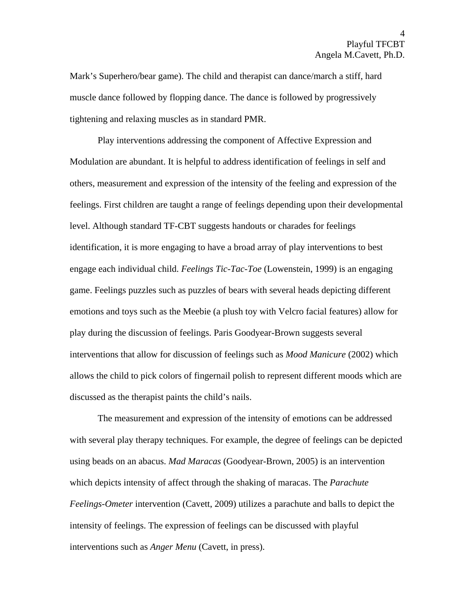Mark's Superhero/bear game). The child and therapist can dance/march a stiff, hard muscle dance followed by flopping dance. The dance is followed by progressively tightening and relaxing muscles as in standard PMR.

Play interventions addressing the component of Affective Expression and Modulation are abundant. It is helpful to address identification of feelings in self and others, measurement and expression of the intensity of the feeling and expression of the feelings. First children are taught a range of feelings depending upon their developmental level. Although standard TF-CBT suggests handouts or charades for feelings identification, it is more engaging to have a broad array of play interventions to best engage each individual child. *Feelings Tic-Tac-Toe* (Lowenstein, 1999) is an engaging game. Feelings puzzles such as puzzles of bears with several heads depicting different emotions and toys such as the Meebie (a plush toy with Velcro facial features) allow for play during the discussion of feelings. Paris Goodyear-Brown suggests several interventions that allow for discussion of feelings such as *Mood Manicure* (2002) which allows the child to pick colors of fingernail polish to represent different moods which are discussed as the therapist paints the child's nails.

The measurement and expression of the intensity of emotions can be addressed with several play therapy techniques. For example, the degree of feelings can be depicted using beads on an abacus. *Mad Maracas* (Goodyear-Brown, 2005) is an intervention which depicts intensity of affect through the shaking of maracas. The *Parachute Feelings-Ometer* intervention (Cavett, 2009) utilizes a parachute and balls to depict the intensity of feelings. The expression of feelings can be discussed with playful interventions such as *Anger Menu* (Cavett, in press).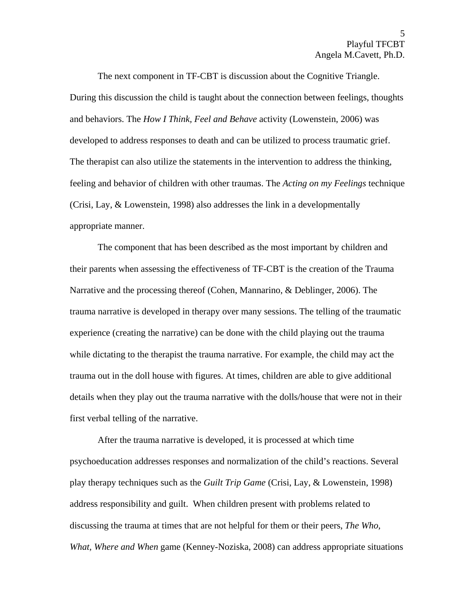The next component in TF-CBT is discussion about the Cognitive Triangle. During this discussion the child is taught about the connection between feelings, thoughts and behaviors. The *How I Think, Feel and Behave* activity (Lowenstein, 2006) was developed to address responses to death and can be utilized to process traumatic grief. The therapist can also utilize the statements in the intervention to address the thinking, feeling and behavior of children with other traumas. The *Acting on my Feelings* technique (Crisi, Lay, & Lowenstein, 1998) also addresses the link in a developmentally appropriate manner.

 The component that has been described as the most important by children and their parents when assessing the effectiveness of TF-CBT is the creation of the Trauma Narrative and the processing thereof (Cohen, Mannarino, & Deblinger, 2006). The trauma narrative is developed in therapy over many sessions. The telling of the traumatic experience (creating the narrative) can be done with the child playing out the trauma while dictating to the therapist the trauma narrative. For example, the child may act the trauma out in the doll house with figures. At times, children are able to give additional details when they play out the trauma narrative with the dolls/house that were not in their first verbal telling of the narrative.

 After the trauma narrative is developed, it is processed at which time psychoeducation addresses responses and normalization of the child's reactions. Several play therapy techniques such as the *Guilt Trip Game* (Crisi, Lay, & Lowenstein, 1998) address responsibility and guilt. When children present with problems related to discussing the trauma at times that are not helpful for them or their peers, *The Who, What, Where and When* game (Kenney-Noziska, 2008) can address appropriate situations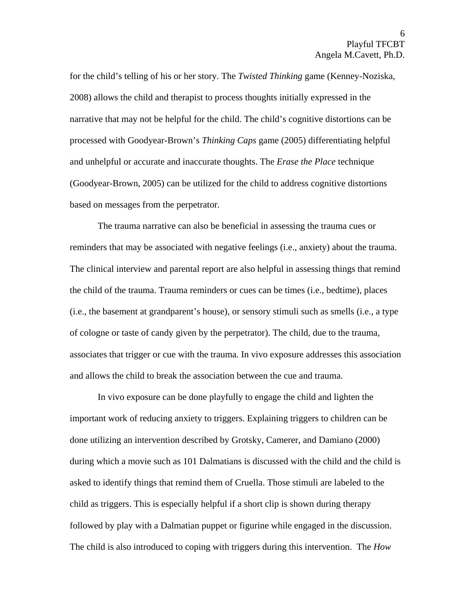for the child's telling of his or her story. The *Twisted Thinking* game (Kenney-Noziska, 2008) allows the child and therapist to process thoughts initially expressed in the narrative that may not be helpful for the child. The child's cognitive distortions can be processed with Goodyear-Brown's *Thinking Caps* game (2005) differentiating helpful and unhelpful or accurate and inaccurate thoughts. The *Erase the Place* technique (Goodyear-Brown, 2005) can be utilized for the child to address cognitive distortions based on messages from the perpetrator.

 The trauma narrative can also be beneficial in assessing the trauma cues or reminders that may be associated with negative feelings (i.e., anxiety) about the trauma. The clinical interview and parental report are also helpful in assessing things that remind the child of the trauma. Trauma reminders or cues can be times (i.e., bedtime), places (i.e., the basement at grandparent's house), or sensory stimuli such as smells (i.e., a type of cologne or taste of candy given by the perpetrator). The child, due to the trauma, associates that trigger or cue with the trauma. In vivo exposure addresses this association and allows the child to break the association between the cue and trauma.

 In vivo exposure can be done playfully to engage the child and lighten the important work of reducing anxiety to triggers. Explaining triggers to children can be done utilizing an intervention described by Grotsky, Camerer, and Damiano (2000) during which a movie such as 101 Dalmatians is discussed with the child and the child is asked to identify things that remind them of Cruella. Those stimuli are labeled to the child as triggers. This is especially helpful if a short clip is shown during therapy followed by play with a Dalmatian puppet or figurine while engaged in the discussion. The child is also introduced to coping with triggers during this intervention. The *How*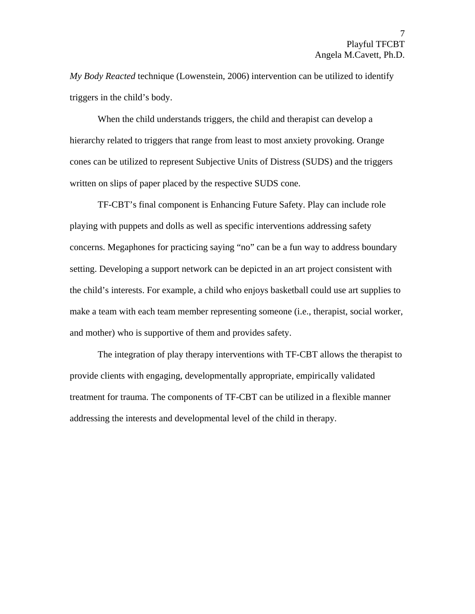*My Body Reacted* technique (Lowenstein, 2006) intervention can be utilized to identify triggers in the child's body.

When the child understands triggers, the child and therapist can develop a hierarchy related to triggers that range from least to most anxiety provoking. Orange cones can be utilized to represent Subjective Units of Distress (SUDS) and the triggers written on slips of paper placed by the respective SUDS cone.

 TF-CBT's final component is Enhancing Future Safety. Play can include role playing with puppets and dolls as well as specific interventions addressing safety concerns. Megaphones for practicing saying "no" can be a fun way to address boundary setting. Developing a support network can be depicted in an art project consistent with the child's interests. For example, a child who enjoys basketball could use art supplies to make a team with each team member representing someone (i.e., therapist, social worker, and mother) who is supportive of them and provides safety.

The integration of play therapy interventions with TF-CBT allows the therapist to provide clients with engaging, developmentally appropriate, empirically validated treatment for trauma. The components of TF-CBT can be utilized in a flexible manner addressing the interests and developmental level of the child in therapy.